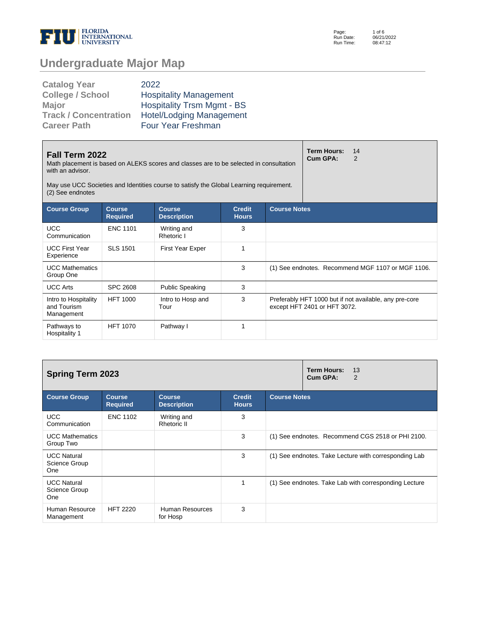

Page: Run Date: Run Time: 1 of 6 06/21/2022 08:47:12

# **Undergraduate Major Map**

| <b>Catalog Year</b>          | 2022                              |
|------------------------------|-----------------------------------|
| <b>College / School</b>      | <b>Hospitality Management</b>     |
| Major                        | <b>Hospitality Trsm Mgmt - BS</b> |
| <b>Track / Concentration</b> | <b>Hotel/Lodging Management</b>   |
| <b>Career Path</b>           | Four Year Freshman                |

| <b>Fall Term 2022</b><br>Math placement is based on ALEKS scores and classes are to be selected in consultation<br>with an advisor.<br>May use UCC Societies and Identities course to satisfy the Global Learning requirement.<br>(2) See endnotes |                 | <b>Term Hours:</b><br>Cum GPA: | 14<br>2 |  |                              |                                                        |
|----------------------------------------------------------------------------------------------------------------------------------------------------------------------------------------------------------------------------------------------------|-----------------|--------------------------------|---------|--|------------------------------|--------------------------------------------------------|
| <b>Course Notes</b><br><b>Course Group</b><br><b>Course</b><br><b>Course</b><br><b>Credit</b><br><b>Required</b><br><b>Description</b><br><b>Hours</b>                                                                                             |                 |                                |         |  |                              |                                                        |
| <b>UCC</b><br>Communication                                                                                                                                                                                                                        | <b>ENC 1101</b> | Writing and<br>Rhetoric I      | 3       |  |                              |                                                        |
| <b>UCC First Year</b><br>Experience                                                                                                                                                                                                                | <b>SLS 1501</b> | <b>First Year Exper</b>        | 1       |  |                              |                                                        |
| <b>UCC Mathematics</b><br>Group One                                                                                                                                                                                                                |                 |                                | 3       |  |                              | (1) See endnotes. Recommend MGF 1107 or MGF 1106.      |
| <b>UCC Arts</b>                                                                                                                                                                                                                                    | <b>SPC 2608</b> | <b>Public Speaking</b>         | 3       |  |                              |                                                        |
| Intro to Hospitality<br>and Tourism<br>Management                                                                                                                                                                                                  | <b>HFT 1000</b> | Intro to Hosp and<br>Tour      | 3       |  | except HFT 2401 or HFT 3072. | Preferably HFT 1000 but if not available, any pre-core |
| Pathways to<br>Hospitality 1                                                                                                                                                                                                                       | <b>HFT 1070</b> | Pathway I                      | 1       |  |                              |                                                        |

| <b>Spring Term 2023</b>                           |                                  | <b>Term Hours:</b><br>13<br>Cum GPA:<br>2 |                               |                                                       |
|---------------------------------------------------|----------------------------------|-------------------------------------------|-------------------------------|-------------------------------------------------------|
| <b>Course Group</b>                               | <b>Course</b><br><b>Required</b> | <b>Course</b><br><b>Description</b>       | <b>Credit</b><br><b>Hours</b> | <b>Course Notes</b>                                   |
| <b>UCC</b><br>Communication                       | <b>ENC 1102</b>                  | Writing and<br><b>Rhetoric II</b>         | 3                             |                                                       |
| <b>UCC Mathematics</b><br>Group Two               |                                  |                                           | 3                             | (1) See endnotes. Recommend CGS 2518 or PHI 2100.     |
| <b>UCC Natural</b><br>Science Group<br><b>One</b> |                                  |                                           | 3                             | (1) See endnotes. Take Lecture with corresponding Lab |
| <b>UCC Natural</b><br>Science Group<br>One        |                                  |                                           | 1                             | (1) See endnotes. Take Lab with corresponding Lecture |
| Human Resource<br>Management                      | <b>HFT 2220</b>                  | Human Resources<br>for Hosp               | 3                             |                                                       |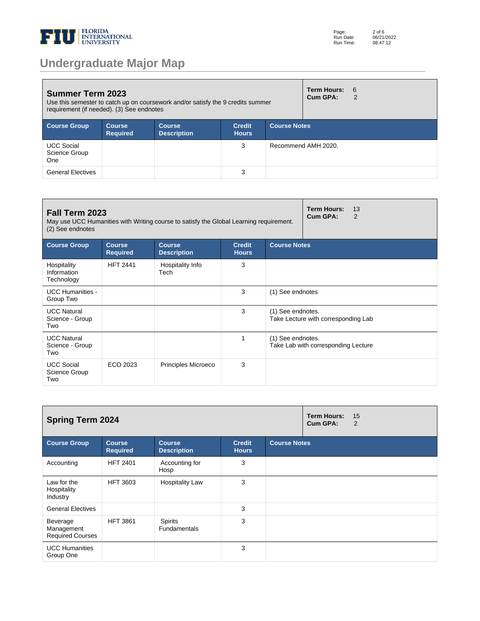

# **Undergraduate Major Map**

| <b>Summer Term 2023</b><br>Use this semester to catch up on coursework and/or satisfy the 9 credits summer<br>requirement (if needed). (3) See endnotes |                            |                                     |                               |                     |                     | <b>Term Hours:</b><br>- 6<br>2 |
|---------------------------------------------------------------------------------------------------------------------------------------------------------|----------------------------|-------------------------------------|-------------------------------|---------------------|---------------------|--------------------------------|
| <b>Course Group</b>                                                                                                                                     | Course,<br><b>Required</b> | <b>Course</b><br><b>Description</b> | <b>Credit</b><br><b>Hours</b> | <b>Course Notes</b> |                     |                                |
| <b>UCC Social</b><br>Science Group<br><b>One</b>                                                                                                        |                            |                                     | 3                             |                     | Recommend AMH 2020. |                                |
| <b>General Electives</b>                                                                                                                                |                            |                                     | 3                             |                     |                     |                                |

| Fall Term 2023<br>May use UCC Humanities with Writing course to satisfy the Global Learning requirement.<br>(2) See endnotes |                                  | <b>Term Hours:</b><br>13<br>Cum GPA:<br>2 |                               |                                                          |                                     |
|------------------------------------------------------------------------------------------------------------------------------|----------------------------------|-------------------------------------------|-------------------------------|----------------------------------------------------------|-------------------------------------|
| <b>Course Group</b>                                                                                                          | <b>Course</b><br><b>Required</b> | <b>Course</b><br><b>Description</b>       | <b>Credit</b><br><b>Hours</b> | <b>Course Notes</b>                                      |                                     |
| Hospitality<br>Information<br>Technology                                                                                     | <b>HFT 2441</b>                  | Hospitality Info<br>Tech                  | 3                             |                                                          |                                     |
| <b>UCC Humanities -</b><br>Group Two                                                                                         |                                  |                                           | 3                             | (1) See endnotes                                         |                                     |
| <b>UCC Natural</b><br>Science - Group<br>Two                                                                                 |                                  |                                           | 3                             | (1) See endnotes.<br>Take Lecture with corresponding Lab |                                     |
| <b>UCC Natural</b><br>Science - Group<br>Two                                                                                 |                                  |                                           | 1                             | (1) See endnotes.                                        | Take Lab with corresponding Lecture |
| <b>UCC Social</b><br>Science Group<br>Two                                                                                    | ECO 2023                         | Principles Microeco                       | 3                             |                                                          |                                     |

| <b>Spring Term 2024</b>                           |                                  |                                       |                               |                     |  | 15<br>2 |
|---------------------------------------------------|----------------------------------|---------------------------------------|-------------------------------|---------------------|--|---------|
| <b>Course Group</b>                               | <b>Course</b><br><b>Required</b> | <b>Course</b><br><b>Description</b>   | <b>Credit</b><br><b>Hours</b> | <b>Course Notes</b> |  |         |
| Accounting                                        | <b>HFT 2401</b>                  | Accounting for<br>Hosp                | 3                             |                     |  |         |
| Law for the<br>Hospitality<br>Industry            | <b>HFT 3603</b>                  | <b>Hospitality Law</b>                | 3                             |                     |  |         |
| <b>General Electives</b>                          |                                  |                                       | 3                             |                     |  |         |
| Beverage<br>Management<br><b>Required Courses</b> | <b>HFT 3861</b>                  | <b>Spirits</b><br><b>Fundamentals</b> | 3                             |                     |  |         |
| <b>UCC Humanities</b><br>Group One                |                                  |                                       | 3                             |                     |  |         |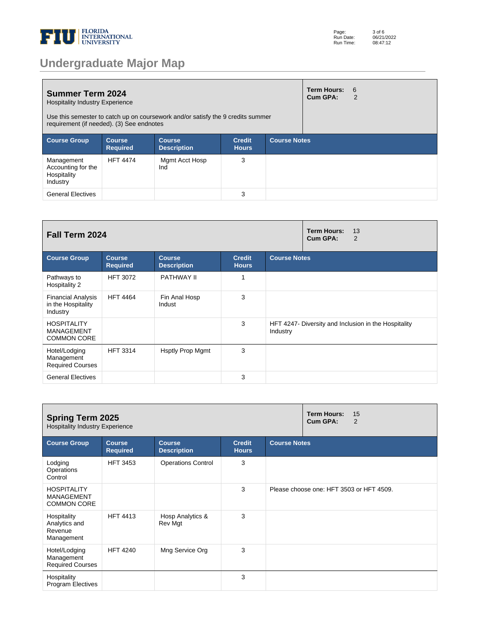

|  |  | <b>Undergraduate Major Map</b> |  |
|--|--|--------------------------------|--|
|  |  |                                |  |

| <b>Summer Term 2024</b><br><b>Hospitality Industry Experience</b><br>Use this semester to catch up on coursework and/or satisfy the 9 credits summer<br>requirement (if needed). (3) See endnotes |                                  |                                     |                               |                     |  | $6 \frac{1}{2}$<br>2 |
|---------------------------------------------------------------------------------------------------------------------------------------------------------------------------------------------------|----------------------------------|-------------------------------------|-------------------------------|---------------------|--|----------------------|
| <b>Course Group</b>                                                                                                                                                                               | <b>Course</b><br><b>Required</b> | <b>Course</b><br><b>Description</b> | <b>Credit</b><br><b>Hours</b> | <b>Course Notes</b> |  |                      |
| Management<br>Accounting for the<br>Hospitality<br>Industry                                                                                                                                       | <b>HFT 4474</b>                  | Mgmt Acct Hosp<br>Ind               | 3                             |                     |  |                      |
| <b>General Electives</b>                                                                                                                                                                          |                                  |                                     | 3                             |                     |  |                      |

| Fall Term 2024                                                |                                  |                                     |                               |                     | <b>Term Hours:</b><br>13<br>Cum GPA:<br>$\overline{2}$ |
|---------------------------------------------------------------|----------------------------------|-------------------------------------|-------------------------------|---------------------|--------------------------------------------------------|
| <b>Course Group</b>                                           | <b>Course</b><br><b>Required</b> | <b>Course</b><br><b>Description</b> | <b>Credit</b><br><b>Hours</b> | <b>Course Notes</b> |                                                        |
| Pathways to<br>Hospitality 2                                  | <b>HFT 3072</b>                  | PATHWAY II                          |                               |                     |                                                        |
| <b>Financial Analysis</b><br>in the Hospitality<br>Industry   | <b>HFT 4464</b>                  | Fin Anal Hosp<br>Indust             | 3                             |                     |                                                        |
| <b>HOSPITALITY</b><br><b>MANAGEMENT</b><br><b>COMMON CORE</b> |                                  |                                     | 3                             | Industry            | HFT 4247- Diversity and Inclusion in the Hospitality   |
| Hotel/Lodging<br>Management<br><b>Required Courses</b>        | <b>HFT 3314</b>                  | <b>Hsptly Prop Mgmt</b>             | 3                             |                     |                                                        |
| <b>General Electives</b>                                      |                                  |                                     | 3                             |                     |                                                        |

| <b>Spring Term 2025</b><br><b>Hospitality Industry Experience</b> |                                  | <b>Term Hours:</b><br>15<br>Cum GPA:<br>2 |                               |                     |                                          |
|-------------------------------------------------------------------|----------------------------------|-------------------------------------------|-------------------------------|---------------------|------------------------------------------|
| <b>Course Group</b>                                               | <b>Course</b><br><b>Required</b> | <b>Course</b><br><b>Description</b>       | <b>Credit</b><br><b>Hours</b> | <b>Course Notes</b> |                                          |
| Lodging<br>Operations<br>Control                                  | <b>HFT 3453</b>                  | <b>Operations Control</b>                 | 3                             |                     |                                          |
| <b>HOSPITALITY</b><br><b>MANAGEMENT</b><br><b>COMMON CORE</b>     |                                  |                                           | 3                             |                     | Please choose one: HFT 3503 or HFT 4509. |
| Hospitality<br>Analytics and<br>Revenue<br>Management             | <b>HFT 4413</b>                  | Hosp Analytics &<br>Rev Mgt               | 3                             |                     |                                          |
| Hotel/Lodging<br>Management<br><b>Required Courses</b>            | <b>HFT 4240</b>                  | Mng Service Org                           | 3                             |                     |                                          |
| Hospitality<br>Program Electives                                  |                                  |                                           | 3                             |                     |                                          |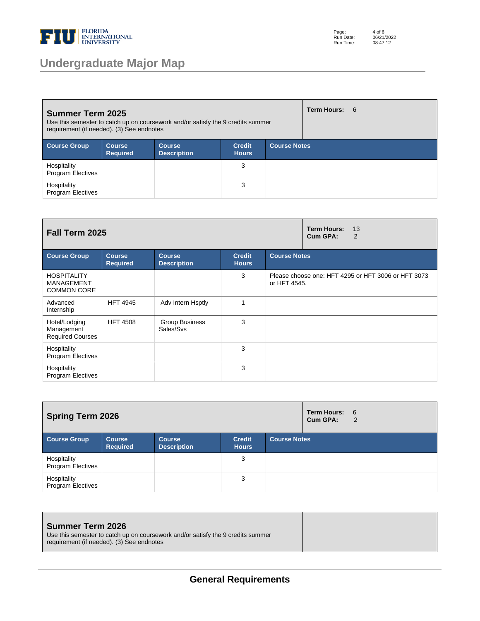

## **Undergraduate Major Map**

Page: Run Date: Run Time: 4 of 6 06/21/2022 08:47:12

| <b>Summer Term 2025</b><br>Use this semester to catch up on coursework and/or satisfy the 9 credits summer<br>requirement (if needed). (3) See endnotes |                                  | <b>Term Hours: 6</b>                |                               |                     |  |
|---------------------------------------------------------------------------------------------------------------------------------------------------------|----------------------------------|-------------------------------------|-------------------------------|---------------------|--|
| <b>Course Group</b>                                                                                                                                     | <b>Course</b><br><b>Required</b> | <b>Course</b><br><b>Description</b> | <b>Credit</b><br><b>Hours</b> | <b>Course Notes</b> |  |
| Hospitality<br><b>Program Electives</b>                                                                                                                 |                                  |                                     | 3                             |                     |  |
| Hospitality<br><b>Program Electives</b>                                                                                                                 |                                  |                                     | 3                             |                     |  |

| Fall Term 2025                                         |                                  | <b>Term Hours:</b><br>13<br>Cum GPA:<br>2 |                               |                     |                                                     |
|--------------------------------------------------------|----------------------------------|-------------------------------------------|-------------------------------|---------------------|-----------------------------------------------------|
| <b>Course Group</b>                                    | <b>Course</b><br><b>Required</b> | <b>Course</b><br><b>Description</b>       | <b>Credit</b><br><b>Hours</b> | <b>Course Notes</b> |                                                     |
| <b>HOSPITALITY</b><br>MANAGEMENT<br><b>COMMON CORE</b> |                                  |                                           | 3                             | or HFT 4545.        | Please choose one: HFT 4295 or HFT 3006 or HFT 3073 |
| Advanced<br>Internship                                 | <b>HFT 4945</b>                  | Adv Intern Hsptly                         |                               |                     |                                                     |
| Hotel/Lodging<br>Management<br><b>Required Courses</b> | <b>HFT 4508</b>                  | <b>Group Business</b><br>Sales/Svs        | 3                             |                     |                                                     |
| Hospitality<br><b>Program Electives</b>                |                                  |                                           | 3                             |                     |                                                     |
| Hospitality<br><b>Program Electives</b>                |                                  |                                           | 3                             |                     |                                                     |

| <b>Spring Term 2026</b>                 |                                  |                                     |                               |                     | <b>Term Hours: 6</b><br>Cum GPA: | 2 |
|-----------------------------------------|----------------------------------|-------------------------------------|-------------------------------|---------------------|----------------------------------|---|
| <b>Course Group</b>                     | <b>Course</b><br><b>Required</b> | <b>Course</b><br><b>Description</b> | <b>Credit</b><br><b>Hours</b> | <b>Course Notes</b> |                                  |   |
| Hospitality<br><b>Program Electives</b> |                                  |                                     | 3                             |                     |                                  |   |
| Hospitality<br><b>Program Electives</b> |                                  |                                     | 3                             |                     |                                  |   |

| <b>Summer Term 2026</b><br>Use this semester to catch up on coursework and/or satisfy the 9 credits summer<br>requirement (if needed). (3) See endnotes |  |
|---------------------------------------------------------------------------------------------------------------------------------------------------------|--|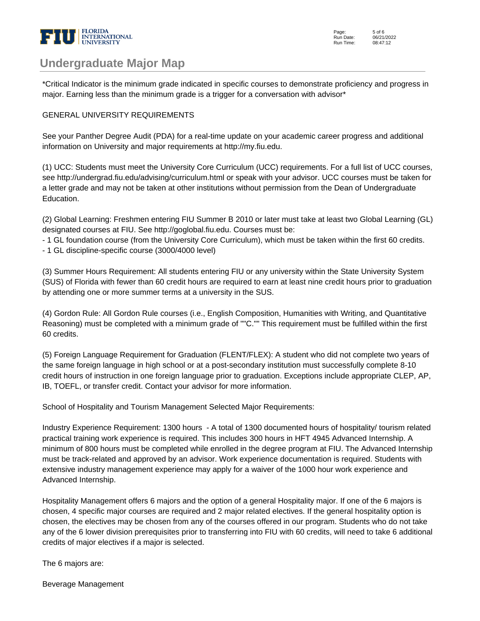

### **Undergraduate Major Map**

\*Critical Indicator is the minimum grade indicated in specific courses to demonstrate proficiency and progress in major. Earning less than the minimum grade is a trigger for a conversation with advisor\*

#### GENERAL UNIVERSITY REQUIREMENTS

See your Panther Degree Audit (PDA) for a real-time update on your academic career progress and additional information on University and major requirements at http://my.fiu.edu.

(1) UCC: Students must meet the University Core Curriculum (UCC) requirements. For a full list of UCC courses, see http://undergrad.fiu.edu/advising/curriculum.html or speak with your advisor. UCC courses must be taken for a letter grade and may not be taken at other institutions without permission from the Dean of Undergraduate Education.

(2) Global Learning: Freshmen entering FIU Summer B 2010 or later must take at least two Global Learning (GL) designated courses at FIU. See http://goglobal.fiu.edu. Courses must be:

- 1 GL foundation course (from the University Core Curriculum), which must be taken within the first 60 credits.

- 1 GL discipline-specific course (3000/4000 level)

(3) Summer Hours Requirement: All students entering FIU or any university within the State University System (SUS) of Florida with fewer than 60 credit hours are required to earn at least nine credit hours prior to graduation by attending one or more summer terms at a university in the SUS.

(4) Gordon Rule: All Gordon Rule courses (i.e., English Composition, Humanities with Writing, and Quantitative Reasoning) must be completed with a minimum grade of ""C."" This requirement must be fulfilled within the first 60 credits.

(5) Foreign Language Requirement for Graduation (FLENT/FLEX): A student who did not complete two years of the same foreign language in high school or at a post-secondary institution must successfully complete 8-10 credit hours of instruction in one foreign language prior to graduation. Exceptions include appropriate CLEP, AP, IB, TOEFL, or transfer credit. Contact your advisor for more information.

School of Hospitality and Tourism Management Selected Major Requirements:

Industry Experience Requirement: 1300 hours - A total of 1300 documented hours of hospitality/ tourism related practical training work experience is required. This includes 300 hours in HFT 4945 Advanced Internship. A minimum of 800 hours must be completed while enrolled in the degree program at FIU. The Advanced Internship must be track-related and approved by an advisor. Work experience documentation is required. Students with extensive industry management experience may apply for a waiver of the 1000 hour work experience and Advanced Internship.

Hospitality Management offers 6 majors and the option of a general Hospitality major. If one of the 6 majors is chosen, 4 specific major courses are required and 2 major related electives. If the general hospitality option is chosen, the electives may be chosen from any of the courses offered in our program. Students who do not take any of the 6 lower division prerequisites prior to transferring into FIU with 60 credits, will need to take 6 additional credits of major electives if a major is selected.

The 6 majors are:

Beverage Management